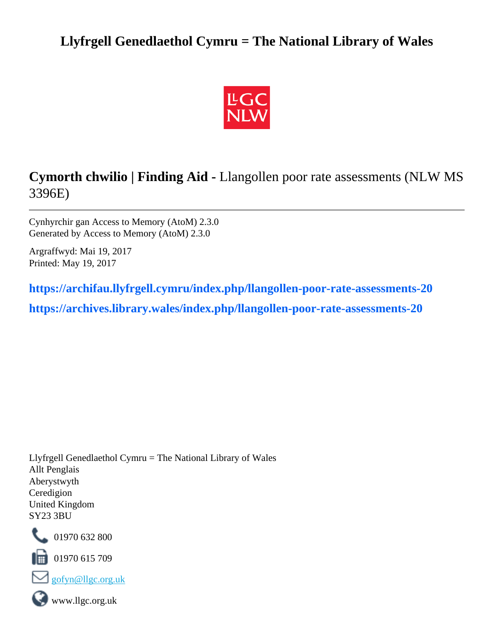# **Llyfrgell Genedlaethol Cymru = The National Library of Wales**



# **Cymorth chwilio | Finding Aid -** Llangollen poor rate assessments (NLW MS 3396E)

Cynhyrchir gan Access to Memory (AtoM) 2.3.0 Generated by Access to Memory (AtoM) 2.3.0

Argraffwyd: Mai 19, 2017 Printed: May 19, 2017

**[https://archifau.llyfrgell.cymru/index.php/llangollen-poor-rate-assessments-20](https://archifau.llyfrgell.cymru/index.php/llangollen-poor-rate-assessments-20;isad?sf_culture=cy) [https://archives.library.wales/index.php/llangollen-poor-rate-assessments-20](https://archives.library.wales/index.php/llangollen-poor-rate-assessments-20;isad?sf_culture=en)**

Llyfrgell Genedlaethol Cymru = The National Library of Wales Allt Penglais Aberystwyth Ceredigion United Kingdom SY23 3BU



01970 632 800

01970 615 709





www.llgc.org.uk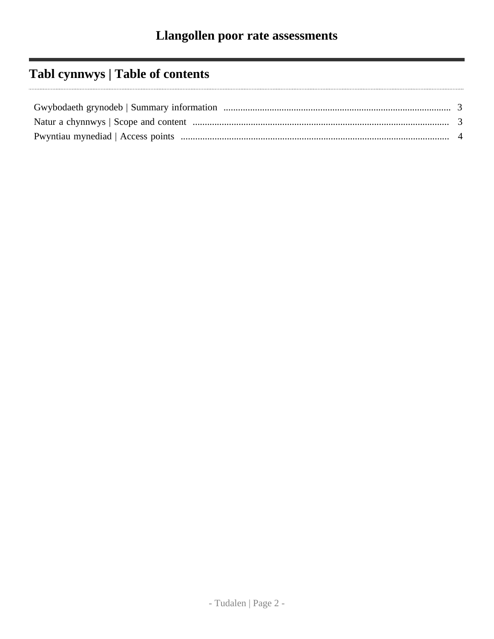# **Tabl cynnwys | Table of contents**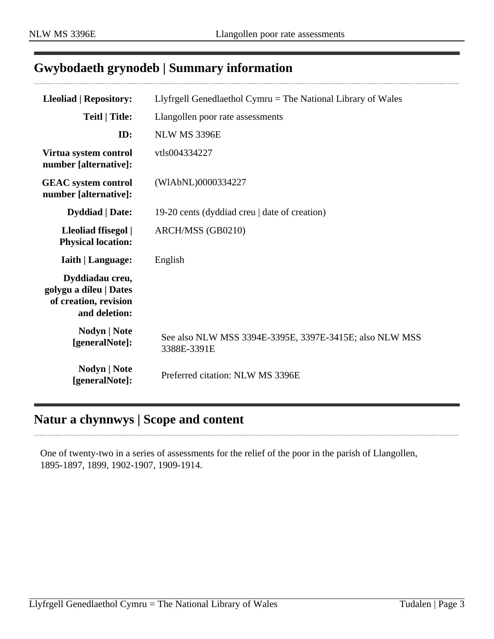## <span id="page-2-0"></span>**Gwybodaeth grynodeb | Summary information**

| <b>Lleoliad   Repository:</b>                                                       | Llyfrgell Genedlaethol Cymru $=$ The National Library of Wales         |
|-------------------------------------------------------------------------------------|------------------------------------------------------------------------|
| <b>Teitl</b>   Title:                                                               | Llangollen poor rate assessments                                       |
| ID:                                                                                 | NLW MS 3396E                                                           |
| Virtua system control<br>number [alternative]:                                      | vtls004334227                                                          |
| <b>GEAC</b> system control<br>number [alternative]:                                 | (WIAbNL)0000334227                                                     |
| <b>Dyddiad</b>   Date:                                                              | 19-20 cents (dyddiad creu   date of creation)                          |
| Lleoliad ffisegol  <br><b>Physical location:</b>                                    | ARCH/MSS (GB0210)                                                      |
| <b>Iaith   Language:</b>                                                            | English                                                                |
| Dyddiadau creu,<br>golygu a dileu   Dates<br>of creation, revision<br>and deletion: |                                                                        |
| <b>Nodyn</b>   <b>Note</b><br>[generalNote]:                                        | See also NLW MSS 3394E-3395E, 3397E-3415E; also NLW MSS<br>3388E-3391E |
| <b>Nodyn</b>   Note<br>[generalNote]:                                               | Preferred citation: NLW MS 3396E                                       |

## <span id="page-2-1"></span>**Natur a chynnwys | Scope and content**

One of twenty-two in a series of assessments for the relief of the poor in the parish of Llangollen, 1895-1897, 1899, 1902-1907, 1909-1914.